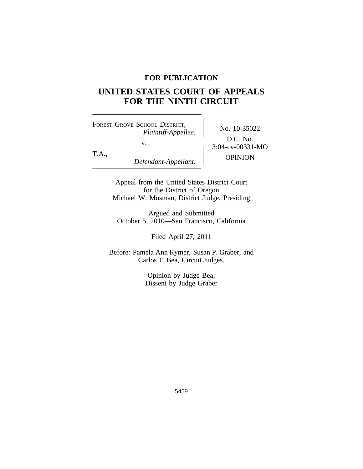# **FOR PUBLICATION**

# **UNITED STATES COURT OF APPEALS FOR THE NINTH CIRCUIT**

<sup>F</sup>OREST GROVE SCHOOL DISTRICT, No. 10-35022 *Plaintiff-Appellee,* v.  $3:04-cv-00331-MO$ 

D.C. No. T.A., OPINION *Defendant-Appellant.*

> Appeal from the United States District Court for the District of Oregon Michael W. Mosman, District Judge, Presiding

Argued and Submitted October 5, 2010—San Francisco, California

Filed April 27, 2011

Before: Pamela Ann Rymer, Susan P. Graber, and Carlos T. Bea, Circuit Judges.

> Opinion by Judge Bea; Dissent by Judge Graber

> > 5459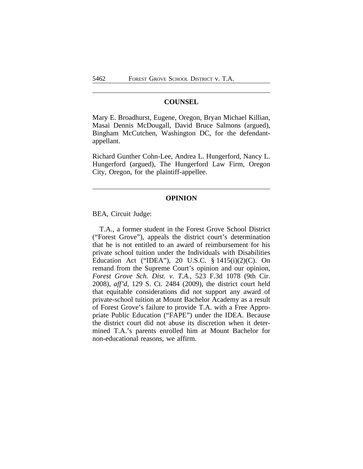#### **COUNSEL**

Mary E. Broadhurst, Eugene, Oregon, Bryan Michael Killian, Masai Dennis McDougall, David Bruce Salmons (argued), Bingham McCutchen, Washington DC, for the defendantappellant.

Richard Gunther Cohn-Lee, Andrea L. Hungerford, Nancy L. Hungerford (argued), The Hungerford Law Firm, Oregon City, Oregon, for the plaintiff-appellee.

# **OPINION**

BEA, Circuit Judge:

T.A., a former student in the Forest Grove School District ("Forest Grove"), appeals the district court's determination that he is not entitled to an award of reimbursement for his private school tuition under the Individuals with Disabilities Education Act ("IDEA"), 20 U.S.C. § 1415(i)(2)(C). On remand from the Supreme Court's opinion and our opinion, *Forest Grove Sch. Dist. v. T.A.*, 523 F.3d 1078 (9th Cir. 2008), *aff'd*, 129 S. Ct. 2484 (2009), the district court held that equitable considerations did not support any award of private-school tuition at Mount Bachelor Academy as a result of Forest Grove's failure to provide T.A. with a Free Appropriate Public Education ("FAPE") under the IDEA. Because the district court did not abuse its discretion when it determined T.A.'s parents enrolled him at Mount Bachelor for non-educational reasons, we affirm.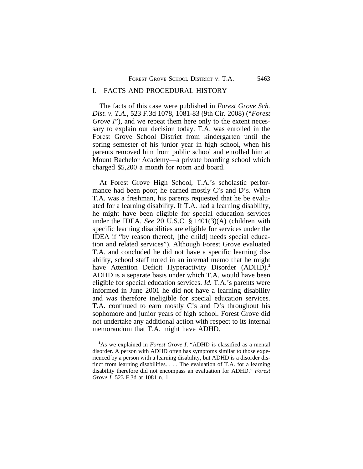#### I. FACTS AND PROCEDURAL HISTORY

The facts of this case were published in *Forest Grove Sch. Dist. v. T.A.*, 523 F.3d 1078, 1081-83 (9th Cir. 2008) ("*Forest Grove I*"), and we repeat them here only to the extent necessary to explain our decision today. T.A. was enrolled in the Forest Grove School District from kindergarten until the spring semester of his junior year in high school, when his parents removed him from public school and enrolled him at Mount Bachelor Academy—a private boarding school which charged \$5,200 a month for room and board.

At Forest Grove High School, T.A.'s scholastic performance had been poor; he earned mostly C's and D's. When T.A. was a freshman, his parents requested that he be evaluated for a learning disability. If T.A. had a learning disability, he might have been eligible for special education services under the IDEA. *See* 20 U.S.C. § 1401(3)(A) (children with specific learning disabilities are eligible for services under the IDEA if "by reason thereof, [the child] needs special education and related services"). Although Forest Grove evaluated T.A. and concluded he did not have a specific learning disability, school staff noted in an internal memo that he might have Attention Deficit Hyperactivity Disorder (ADHD).<sup>1</sup> ADHD is a separate basis under which T.A. would have been eligible for special education services. *Id.* T.A.'s parents were informed in June 2001 he did not have a learning disability and was therefore ineligible for special education services. T.A. continued to earn mostly C's and D's throughout his sophomore and junior years of high school. Forest Grove did not undertake any additional action with respect to its internal memorandum that T.A. might have ADHD.

**<sup>1</sup>**As we explained in *Forest Grove I*, "ADHD is classified as a mental disorder. A person with ADHD often has symptoms similar to those experienced by a person with a learning disability, but ADHD is a disorder distinct from learning disabilities. . . . The evaluation of T.A. for a learning disability therefore did not encompass an evaluation for ADHD." *Forest Grove I*, 523 F.3d at 1081 n. 1.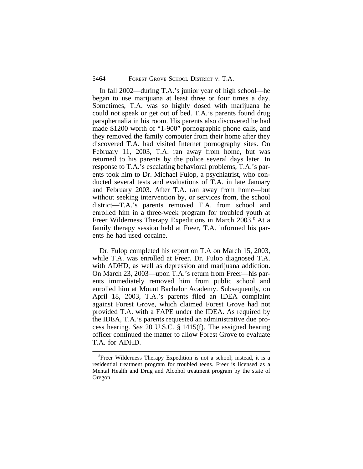In fall 2002—during T.A.'s junior year of high school—he began to use marijuana at least three or four times a day. Sometimes, T.A. was so highly dosed with marijuana he could not speak or get out of bed. T.A.'s parents found drug paraphernalia in his room. His parents also discovered he had made \$1200 worth of "1-900" pornographic phone calls, and they removed the family computer from their home after they discovered T.A. had visited Internet pornography sites. On February 11, 2003, T.A. ran away from home, but was returned to his parents by the police several days later. In response to T.A.'s escalating behavioral problems, T.A.'s parents took him to Dr. Michael Fulop, a psychiatrist, who conducted several tests and evaluations of T.A. in late January and February 2003. After T.A. ran away from home—but without seeking intervention by, or services from, the school district—T.A.'s parents removed T.A. from school and enrolled him in a three-week program for troubled youth at Freer Wilderness Therapy Expeditions in March 2003.**<sup>2</sup>** At a family therapy session held at Freer, T.A. informed his parents he had used cocaine.

Dr. Fulop completed his report on T.A on March 15, 2003, while T.A. was enrolled at Freer. Dr. Fulop diagnosed T.A. with ADHD, as well as depression and marijuana addiction. On March 23, 2003—upon T.A.'s return from Freer—his parents immediately removed him from public school and enrolled him at Mount Bachelor Academy. Subsequently, on April 18, 2003, T.A.'s parents filed an IDEA complaint against Forest Grove, which claimed Forest Grove had not provided T.A. with a FAPE under the IDEA. As required by the IDEA, T.A.'s parents requested an administrative due process hearing. *See* 20 U.S.C. § 1415(f). The assigned hearing officer continued the matter to allow Forest Grove to evaluate T.A. for ADHD.

**<sup>2</sup>**Freer Wilderness Therapy Expedition is not a school; instead, it is a residential treatment program for troubled teens. Freer is licensed as a Mental Health and Drug and Alcohol treatment program by the state of Oregon.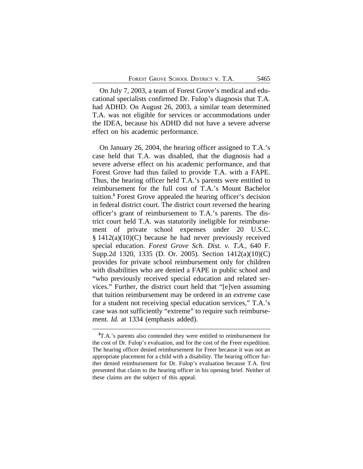On July 7, 2003, a team of Forest Grove's medical and educational specialists confirmed Dr. Fulop's diagnosis that T.A. had ADHD. On August 26, 2003, a similar team determined T.A. was not eligible for services or accommodations under the IDEA, because his ADHD did not have a severe adverse effect on his academic performance.

On January 26, 2004, the hearing officer assigned to T.A.'s case held that T.A. was disabled, that the diagnosis had a severe adverse effect on his academic performance, and that Forest Grove had thus failed to provide T.A. with a FAPE. Thus, the hearing officer held T.A.'s parents were entitled to reimbursement for the full cost of T.A.'s Mount Bachelor tuition.**<sup>3</sup>** Forest Grove appealed the hearing officer's decision in federal district court. The district court reversed the hearing officer's grant of reimbursement to T.A.'s parents. The district court held T.A. was statutorily ineligible for reimbursement of private school expenses under 20 U.S.C. § 1412(a)(10)(C) because he had never previously received special education. *Forest Grove Sch. Dist. v. T.A.*, 640 F. Supp.2d 1320, 1335 (D. Or. 2005). Section 1412(a)(10)(C) provides for private school reimbursement only for children with disabilities who are denied a FAPE in public school and "who previously received special education and related services." Further, the district court held that "[e]ven assuming that tuition reimbursement may be ordered in an *extreme* case for a student not receiving special education services," T.A.'s case was not sufficiently "extreme" to require such reimbursement. *Id.* at 1334 (emphasis added).

**<sup>3</sup>**T.A.'s parents also contended they were entitled to reimbursement for the cost of Dr. Fulop's evaluation, and for the cost of the Freer expedition. The hearing officer denied reimbursement for Freer because it was not an appropriate placement for a child with a disability. The hearing officer further denied reimbursement for Dr. Fulop's evaluation because T.A. first presented that claim to the hearing officer in his opening brief. Neither of these claims are the subject of this appeal.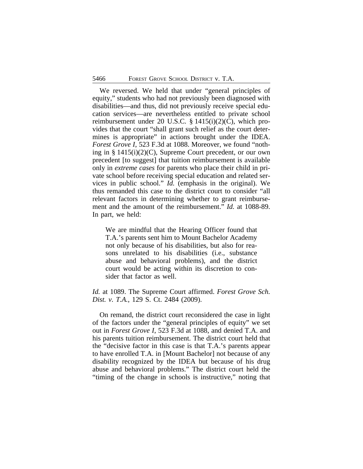We reversed. We held that under "general principles of equity," students who had not previously been diagnosed with disabilities—and thus, did not previously receive special education services—are nevertheless entitled to private school reimbursement under 20 U.S.C. § 1415(i)(2)(C), which provides that the court "shall grant such relief as the court determines is appropriate" in actions brought under the IDEA. *Forest Grove I*, 523 F.3d at 1088. Moreover, we found "nothing in § 1415(i)(2)(C), Supreme Court precedent, or our own precedent [to suggest] that tuition reimbursement is available only in *extreme cases* for parents who place their child in private school before receiving special education and related services in public school." *Id.* (emphasis in the original). We thus remanded this case to the district court to consider "all relevant factors in determining whether to grant reimbursement and the amount of the reimbursement." *Id.* at 1088-89. In part, we held:

We are mindful that the Hearing Officer found that T.A.'s parents sent him to Mount Bachelor Academy not only because of his disabilities, but also for reasons unrelated to his disabilities (i.e., substance abuse and behavioral problems), and the district court would be acting within its discretion to consider that factor as well.

*Id.* at 1089. The Supreme Court affirmed. *Forest Grove Sch. Dist. v. T.A.*, 129 S. Ct. 2484 (2009).

On remand, the district court reconsidered the case in light of the factors under the "general principles of equity" we set out in *Forest Grove I*, 523 F.3d at 1088, and denied T.A. and his parents tuition reimbursement. The district court held that the "decisive factor in this case is that T.A.'s parents appear to have enrolled T.A. in [Mount Bachelor] not because of any disability recognized by the IDEA but because of his drug abuse and behavioral problems." The district court held the "timing of the change in schools is instructive," noting that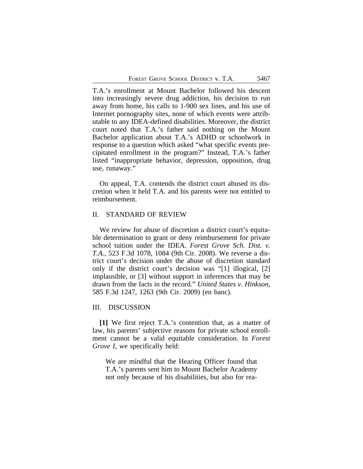T.A.'s enrollment at Mount Bachelor followed his descent into increasingly severe drug addiction, his decision to run away from home, his calls to 1-900 sex lines, and his use of Internet pornography sites, none of which events were attributable to any IDEA-defined disabilities. Moreover, the district court noted that T.A.'s father said nothing on the Mount Bachelor application about T.A.'s ADHD or schoolwork in response to a question which asked "what specific events precipitated enrollment in the program?" Instead, T.A.'s father listed "inappropriate behavior, depression, opposition, drug use, runaway."

On appeal, T.A. contends the district court abused its discretion when it held T.A. and his parents were not entitled to reimbursement.

# II. STANDARD OF REVIEW

We review for abuse of discretion a district court's equitable determination to grant or deny reimbursement for private school tuition under the IDEA. *Forest Grove Sch. Dist. v. T.A.*, 523 F.3d 1078, 1084 (9th Cir. 2008). We reverse a district court's decision under the abuse of discretion standard only if the district court's decision was "[1] illogical, [2] implausible, or [3] without support in inferences that may be drawn from the facts in the record." *United States v. Hinkson*, 585 F.3d 1247, 1263 (9th Cir. 2009) (en banc).

# III. DISCUSSION

**[1]** We first reject T.A.'s contention that, as a matter of law, his parents' subjective reasons for private school enrollment cannot be a valid equitable consideration. In *Forest Grove I*, we specifically held:

We are mindful that the Hearing Officer found that T.A.'s parents sent him to Mount Bachelor Academy not only because of his disabilities, but also for rea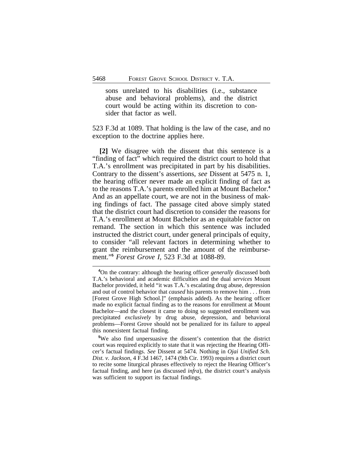sons unrelated to his disabilities (i.e., substance abuse and behavioral problems), and the district court would be acting within its discretion to consider that factor as well.

523 F.3d at 1089. That holding is the law of the case, and no exception to the doctrine applies here.

**[2]** We disagree with the dissent that this sentence is a "finding of fact" which required the district court to hold that T.A.'s enrollment was precipitated in part by his disabilities. Contrary to the dissent's assertions, *see* Dissent at 5475 n. 1, the hearing officer never made an explicit finding of fact as to the reasons T.A.'s parents enrolled him at Mount Bachelor.**<sup>4</sup>** And as an appellate court, we are not in the business of making findings of fact. The passage cited above simply stated that the district court had discretion to consider the reasons for T.A.'s enrollment at Mount Bachelor as an equitable factor on remand. The section in which this sentence was included instructed the district court, under general principals of equity, to consider "all relevant factors in determining whether to grant the reimbursement and the amount of the reimbursement."**<sup>5</sup>** *Forest Grove I*, 523 F.3d at 1088-89.

**<sup>5</sup>**We also find unpersuasive the dissent's contention that the district court was required explicitly to state that it was rejecting the Hearing Officer's factual findings. *See* Dissent at 5474. Nothing in *Ojai Unified Sch. Dist. v. Jackson*, 4 F.3d 1467, 1474 (9th Cir. 1993) requires a district court to recite some liturgical phrases effectively to reject the Hearing Officer's factual finding, and here (as discussed *infra*), the district court's analysis was sufficient to support its factual findings.

**<sup>4</sup>**On the contrary: although the hearing officer *generally* discussed both T.A.'s behavioral and academic difficulties and the dual *services* Mount Bachelor provided, it held "it was T.A.'s escalating drug abuse, depression and out of control behavior that *caused* his parents to remove him . . . from [Forest Grove High School.]" (emphasis added). As the hearing officer made no explicit factual finding as to the reasons for enrollment at Mount Bachelor—and the closest it came to doing so suggested enrollment was precipitated *exclusively* by drug abuse, depression, and behavioral problems—Forest Grove should not be penalized for its failure to appeal this nonexistent factual finding.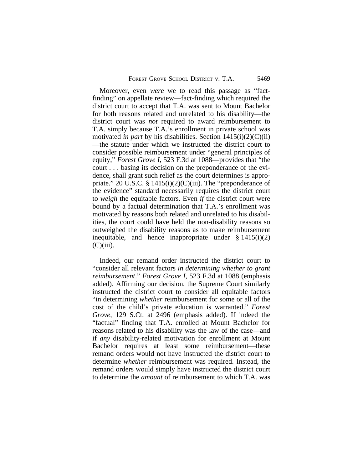Moreover, even *were* we to read this passage as "factfinding" on appellate review—fact-finding which required the district court to accept that T.A. was sent to Mount Bachelor for both reasons related and unrelated to his disability—the district court was *not* required to award reimbursement to T.A. simply because T.A.'s enrollment in private school was motivated *in part* by his disabilities. Section 1415(i)(2)(C)(ii) —the statute under which we instructed the district court to consider possible reimbursement under "general principles of equity," *Forest Grove I*, 523 F.3d at 1088—provides that "the court . . . basing its decision on the preponderance of the evidence, shall grant such relief as the court determines is appropriate." 20 U.S.C. §  $1415(i)(2)(C)(iii)$ . The "preponderance of the evidence" standard necessarily requires the district court to *weigh* the equitable factors. Even *if* the district court were bound by a factual determination that T.A.'s enrollment was motivated by reasons both related and unrelated to his disabilities, the court could have held the non-disability reasons so outweighed the disability reasons as to make reimbursement inequitable, and hence inappropriate under  $\S 1415(i)(2)$  $(C)(iii)$ .

Indeed, our remand order instructed the district court to "consider all relevant factors *in determining whether to grant reimbursement*." *Forest Grove I*, 523 F.3d at 1088 (emphasis added). Affirming our decision, the Supreme Court similarly instructed the district court to consider all equitable factors "in determining *whether* reimbursement for some or all of the cost of the child's private education is warranted." *Forest Grove*, 129 S.Ct. at 2496 (emphasis added). If indeed the "factual" finding that T.A. enrolled at Mount Bachelor for reasons related to his disability was the law of the case—and if *any* disability-related motivation for enrollment at Mount Bachelor requires at least some reimbursement—these remand orders would not have instructed the district court to determine *whether* reimbursement was required. Instead, the remand orders would simply have instructed the district court to determine the *amount* of reimbursement to which T.A. was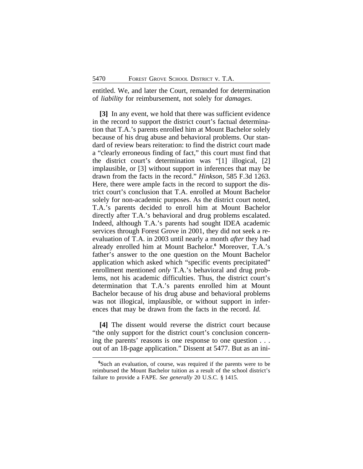entitled. We, and later the Court, remanded for determination of *liability* for reimbursement, not solely for *damages*.

**[3]** In any event, we hold that there was sufficient evidence in the record to support the district court's factual determination that T.A.'s parents enrolled him at Mount Bachelor solely because of his drug abuse and behavioral problems. Our standard of review bears reiteration: to find the district court made a "clearly erroneous finding of fact," this court must find that the district court's determination was "[1] illogical, [2] implausible, or [3] without support in inferences that may be drawn from the facts in the record." *Hinkson*, 585 F.3d 1263. Here, there were ample facts in the record to support the district court's conclusion that T.A. enrolled at Mount Bachelor solely for non-academic purposes. As the district court noted, T.A.'s parents decided to enroll him at Mount Bachelor directly after T.A.'s behavioral and drug problems escalated. Indeed, although T.A.'s parents had sought IDEA academic services through Forest Grove in 2001, they did not seek a reevaluation of T.A. in 2003 until nearly a month *after* they had already enrolled him at Mount Bachelor.**<sup>6</sup>** Moreover, T.A.'s father's answer to the one question on the Mount Bachelor application which asked which "specific events precipitated" enrollment mentioned *only* T.A.'s behavioral and drug problems, not his academic difficulties. Thus, the district court's determination that T.A.'s parents enrolled him at Mount Bachelor because of his drug abuse and behavioral problems was not illogical, implausible, or without support in inferences that may be drawn from the facts in the record. *Id.*

**[4]** The dissent would reverse the district court because "the only support for the district court's conclusion concerning the parents' reasons is one response to one question . . . out of an 18-page application." Dissent at 5477. But as an ini-

**<sup>6</sup>**Such an evaluation, of course, was required if the parents were to be reimbursed the Mount Bachelor tuition as a result of the school district's failure to provide a FAPE. *See generally* 20 U.S.C. § 1415.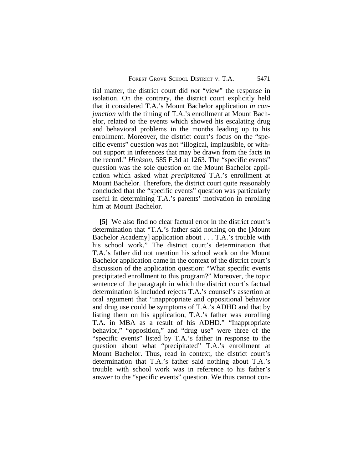tial matter, the district court did *not* "view" the response in isolation. On the contrary, the district court explicitly held that it considered T.A.'s Mount Bachelor application *in conjunction* with the timing of T.A.'s enrollment at Mount Bachelor, related to the events which showed his escalating drug and behavioral problems in the months leading up to his enrollment. Moreover, the district court's focus on the "specific events" question was not "illogical, implausible, or without support in inferences that may be drawn from the facts in the record." *Hinkson*, 585 F.3d at 1263. The "specific events" question was the sole question on the Mount Bachelor application which asked what *precipitated* T.A.'s enrollment at Mount Bachelor. Therefore, the district court quite reasonably concluded that the "specific events" question was particularly useful in determining T.A.'s parents' motivation in enrolling him at Mount Bachelor.

**[5]** We also find no clear factual error in the district court's determination that "T.A.'s father said nothing on the [Mount Bachelor Academy] application about . . . T.A.'s trouble with his school work." The district court's determination that T.A.'s father did not mention his school work on the Mount Bachelor application came in the context of the district court's discussion of the application question: "What specific events precipitated enrollment to this program?" Moreover, the topic sentence of the paragraph in which the district court's factual determination is included rejects T.A.'s counsel's assertion at oral argument that "inappropriate and oppositional behavior and drug use could be symptoms of T.A.'s ADHD and that by listing them on his application, T.A.'s father was enrolling T.A. in MBA as a result of his ADHD." "Inappropriate behavior," "opposition," and "drug use" were three of the "specific events" listed by T.A.'s father in response to the question about what "precipitated" T.A.'s enrollment at Mount Bachelor. Thus, read in context, the district court's determination that T.A.'s father said nothing about T.A.'s trouble with school work was in reference to his father's answer to the "specific events" question. We thus cannot con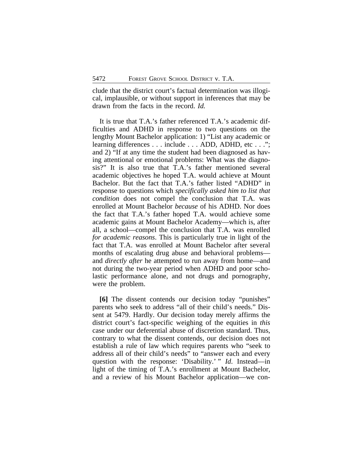clude that the district court's factual determination was illogical, implausible, or without support in inferences that may be drawn from the facts in the record. *Id.*

It is true that T.A.'s father referenced T.A.'s academic difficulties and ADHD in response to two questions on the lengthy Mount Bachelor application: 1) "List any academic or learning differences . . . include . . . ADD, ADHD, etc . . ."; and 2) "If at any time the student had been diagnosed as having attentional or emotional problems: What was the diagnosis?" It is also true that T.A.'s father mentioned several academic objectives he hoped T.A. would achieve at Mount Bachelor. But the fact that T.A.'s father listed "ADHD" in response to questions which *specifically asked him to list that condition* does not compel the conclusion that T.A. was enrolled at Mount Bachelor *because* of his ADHD. Nor does the fact that T.A.'s father hoped T.A. would achieve some academic gains at Mount Bachelor Academy—which is, after all, a school—compel the conclusion that T.A. was enrolled *for academic reasons*. This is particularly true in light of the fact that T.A. was enrolled at Mount Bachelor after several months of escalating drug abuse and behavioral problems and *directly after* he attempted to run away from home—and not during the two-year period when ADHD and poor scholastic performance alone, and not drugs and pornography, were the problem.

**[6]** The dissent contends our decision today "punishes" parents who seek to address "all of their child's needs." Dissent at 5479. Hardly. Our decision today merely affirms the district court's fact-specific weighing of the equities in *this* case under our deferential abuse of discretion standard. Thus, contrary to what the dissent contends, our decision does not establish a rule of law which requires parents who "seek to address all of their child's needs" to "answer each and every question with the response: 'Disability.' " *Id*. Instead—in light of the timing of T.A.'s enrollment at Mount Bachelor, and a review of his Mount Bachelor application—we con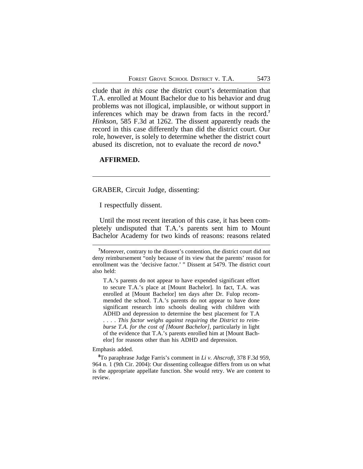clude that *in this case* the district court's determination that T.A. enrolled at Mount Bachelor due to his behavior and drug problems was not illogical, implausible, or without support in inferences which may be drawn from facts in the record.**<sup>7</sup>** *Hinkson*, 585 F.3d at 1262. The dissent apparently reads the record in this case differently than did the district court. Our role, however, is solely to determine whether the district court abused its discretion, not to evaluate the record *de novo*. **8**

# **AFFIRMED.**

GRABER, Circuit Judge, dissenting:

I respectfully dissent.

Until the most recent iteration of this case, it has been completely undisputed that T.A.'s parents sent him to Mount Bachelor Academy for two kinds of reasons: reasons related

Emphasis added.

**<sup>8</sup>**To paraphrase Judge Farris's comment in *Li v. Ahscroft,* 378 F.3d 959, 964 n. 1 (9th Cir. 2004): Our dissenting colleague differs from us on what is the appropriate appellate function. She would retry. We are content to review.

**<sup>7</sup>**Moreover, contrary to the dissent's contention, the district court did not deny reimbursement "only because of its view that the parents' reason for enrollment was the 'decisive factor.' " Dissent at 5479. The district court also held:

T.A.'s parents do not appear to have expended significant effort to secure T.A.'s place at [Mount Bachelor]. In fact, T.A. was enrolled at [Mount Bachelor] ten days after Dr. Fulop recommended the school. T.A.'s parents do not appear to have done significant research into schools dealing with children with ADHD and depression to determine the best placement for T.A . . . . *This factor weighs against requiring the District to reimburse T.A. for the cost of [Mount Bachelor]*, particularly in light of the evidence that T.A.'s parents enrolled him at [Mount Bachelor] for reasons other than his ADHD and depression.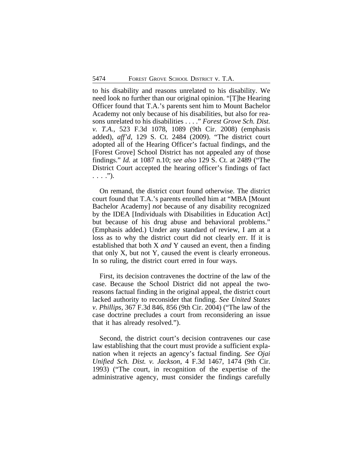to his disability and reasons unrelated to his disability. We need look no further than our original opinion. "[T]he Hearing Officer found that T.A.'s parents sent him to Mount Bachelor Academy not only because of his disabilities, but also for reasons unrelated to his disabilities . . . ." *Forest Grove Sch. Dist. v. T.A.*, 523 F.3d 1078, 1089 (9th Cir. 2008) (emphasis added), *aff'd*, 129 S. Ct. 2484 (2009). "The district court adopted all of the Hearing Officer's factual findings, and the [Forest Grove] School District has not appealed any of those findings." *Id.* at 1087 n.10; *see also* 129 S. Ct. at 2489 ("The District Court accepted the hearing officer's findings of fact  $\ldots$  .").

On remand, the district court found otherwise. The district court found that T.A.'s parents enrolled him at "MBA [Mount Bachelor Academy] *not* because of any disability recognized by the IDEA [Individuals with Disabilities in Education Act] but because of his drug abuse and behavioral problems." (Emphasis added.) Under any standard of review, I am at a loss as to why the district court did not clearly err. If it is established that both X *and* Y caused an event, then a finding that only X, but not Y, caused the event is clearly erroneous. In so ruling, the district court erred in four ways.

First, its decision contravenes the doctrine of the law of the case. Because the School District did not appeal the tworeasons factual finding in the original appeal, the district court lacked authority to reconsider that finding. *See United States v. Phillips*, 367 F.3d 846, 856 (9th Cir. 2004) ("The law of the case doctrine precludes a court from reconsidering an issue that it has already resolved.").

Second, the district court's decision contravenes our case law establishing that the court must provide a sufficient explanation when it rejects an agency's factual finding. *See Ojai Unified Sch. Dist. v. Jackson*, 4 F.3d 1467, 1474 (9th Cir. 1993) ("The court, in recognition of the expertise of the administrative agency, must consider the findings carefully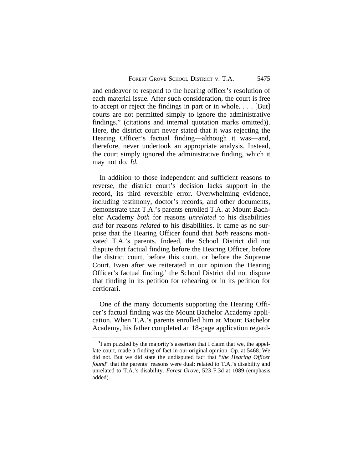and endeavor to respond to the hearing officer's resolution of each material issue. After such consideration, the court is free to accept or reject the findings in part or in whole. . . . [But] courts are not permitted simply to ignore the administrative findings." (citations and internal quotation marks omitted)). Here, the district court never stated that it was rejecting the Hearing Officer's factual finding—although it was—and, therefore, never undertook an appropriate analysis. Instead, the court simply ignored the administrative finding, which it may not do. *Id.*

In addition to those independent and sufficient reasons to reverse, the district court's decision lacks support in the record, its third reversible error. Overwhelming evidence, including testimony, doctor's records, and other documents, demonstrate that T.A.'s parents enrolled T.A. at Mount Bachelor Academy *both* for reasons *unrelated* to his disabilities *and* for reasons *related* to his disabilities. It came as no surprise that the Hearing Officer found that *both* reasons motivated T.A.'s parents. Indeed, the School District did not dispute that factual finding before the Hearing Officer, before the district court, before this court, or before the Supreme Court. Even after we reiterated in our opinion the Hearing Officer's factual finding,**<sup>1</sup>** the School District did not dispute that finding in its petition for rehearing or in its petition for certiorari.

One of the many documents supporting the Hearing Officer's factual finding was the Mount Bachelor Academy application. When T.A.'s parents enrolled him at Mount Bachelor Academy, his father completed an 18-page application regard-

<sup>&</sup>lt;sup>1</sup>I am puzzled by the majority's assertion that I claim that we, the appellate court, made a finding of fact in our original opinion. Op. at 5468. We did not. But we did state the undisputed fact that "*the Hearing Officer found*" that the parents' reasons were dual: related to T.A.'s disability and unrelated to T.A.'s disability. *Forest Grove*, 523 F.3d at 1089 (emphasis added).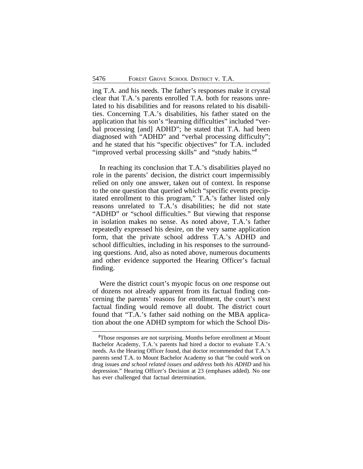ing T.A. and his needs. The father's responses make it crystal clear that T.A.'s parents enrolled T.A. both for reasons unrelated to his disabilities and for reasons related to his disabilities. Concerning T.A.'s disabilities, his father stated on the application that his son's "learning difficulties" included "verbal processing [and] ADHD"; he stated that T.A. had been diagnosed with "ADHD" and "verbal processing difficulty"; and he stated that his "specific objectives" for T.A. included "improved verbal processing skills" and "study habits." **2**

In reaching its conclusion that T.A.'s disabilities played no role in the parents' decision, the district court impermissibly relied on only one answer, taken out of context. In response to the one question that queried which "specific events precipitated enrollment to this program," T.A.'s father listed only reasons unrelated to T.A.'s disabilities; he did not state "ADHD" or "school difficulties." But viewing that response in isolation makes no sense. As noted above, T.A.'s father repeatedly expressed his desire, on the very same application form, that the private school address T.A.'s ADHD and school difficulties, including in his responses to the surrounding questions. And, also as noted above, numerous documents and other evidence supported the Hearing Officer's factual finding.

Were the district court's myopic focus on *one* response out of dozens not already apparent from its factual finding concerning the parents' reasons for enrollment, the court's next factual finding would remove all doubt. The district court found that "T.A.'s father said nothing on the MBA application about the one ADHD symptom for which the School Dis-

**<sup>2</sup>**Those responses are not surprising. Months before enrollment at Mount Bachelor Academy, T.A.'s parents had hired a doctor to evaluate T.A.'s needs. As the Hearing Officer found, that doctor recommended that T.A.'s parents send T.A. to Mount Bachelor Academy so that "he could work on drug issues *and school related issues and address* both *his ADHD* and his depression." Hearing Officer's Decision at 23 (emphases added). No one has ever challenged that factual determination.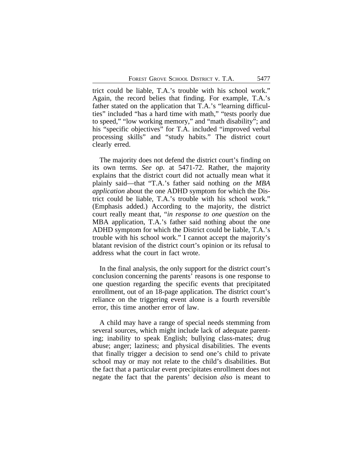trict could be liable, T.A.'s trouble with his school work." Again, the record belies that finding. For example, T.A.'s father stated on the application that T.A.'s "learning difficulties" included "has a hard time with math," "tests poorly due to speed," "low working memory," and "math disability"; and his "specific objectives" for T.A. included "improved verbal" processing skills" and "study habits." The district court clearly erred.

The majority does not defend the district court's finding on its own terms. *See op.* at 5471-72. Rather, the majority explains that the district court did not actually mean what it plainly said—that "T.A.'s father said nothing *on the MBA application* about the one ADHD symptom for which the District could be liable, T.A.'s trouble with his school work." (Emphasis added.) According to the majority, the district court really meant that, "*in response to one question* on the MBA application, T.A.'s father said nothing about the one ADHD symptom for which the District could be liable, T.A.'s trouble with his school work." I cannot accept the majority's blatant revision of the district court's opinion or its refusal to address what the court in fact wrote.

In the final analysis, the only support for the district court's conclusion concerning the parents' reasons is one response to one question regarding the specific events that precipitated enrollment, out of an 18-page application. The district court's reliance on the triggering event alone is a fourth reversible error, this time another error of law.

A child may have a range of special needs stemming from several sources, which might include lack of adequate parenting; inability to speak English; bullying class-mates; drug abuse; anger; laziness; and physical disabilities. The events that finally trigger a decision to send one's child to private school may or may not relate to the child's disabilities. But the fact that a particular event precipitates enrollment does not negate the fact that the parents' decision *also* is meant to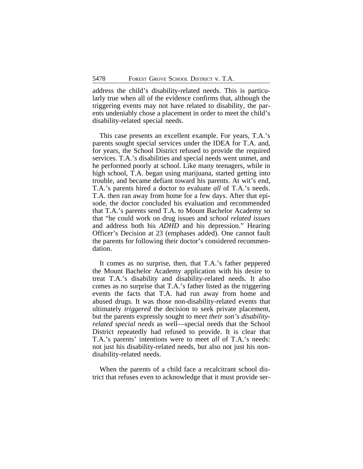address the child's disability-related needs. This is particularly true when all of the evidence confirms that, although the triggering events may not have related to disability, the parents undeniably chose a placement in order to meet the child's disability-related special needs.

This case presents an excellent example. For years, T.A.'s parents sought special services under the IDEA for T.A. and, for years, the School District refused to provide the required services. T.A.'s disabilities and special needs went unmet, and he performed poorly at school. Like many teenagers, while in high school, T.A. began using marijuana, started getting into trouble, and became defiant toward his parents. At wit's end, T.A.'s parents hired a doctor to evaluate *all* of T.A.'s needs. T.A. then ran away from home for a few days. After that episode, the doctor concluded his evaluation and recommended that T.A.'s parents send T.A. to Mount Bachelor Academy so that "he could work on drug issues and *school related issues* and address both his *ADHD* and his depression." Hearing Officer's Decision at 23 (emphases added). One cannot fault the parents for following their doctor's considered recommendation.

It comes as no surprise, then, that T.A.'s father peppered the Mount Bachelor Academy application with his desire to treat T.A.'s disability and disability-related needs. It also comes as no surprise that T.A.'s father listed as the triggering events the facts that T.A. had run away from home and abused drugs. It was those non-disability-related events that ultimately *triggered* the decision to seek private placement, but the parents expressly sought to *meet their son's disabilityrelated special needs* as well—special needs that the School District repeatedly had refused to provide. It is clear that T.A.'s parents' intentions were to meet *all* of T.A.'s needs: not just his disability-related needs, but also not just his nondisability-related needs.

When the parents of a child face a recalcitrant school district that refuses even to acknowledge that it must provide ser